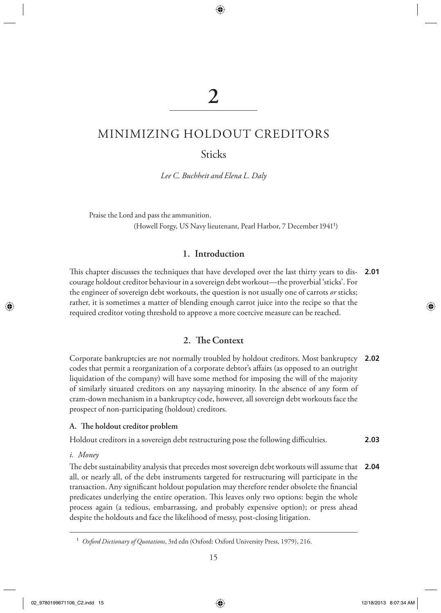# **2**

◈

# MINIMIZING HOLDOUT CREDITORS

Sticks

 *Lee C. Buchheit and Elena L. Daly* 

 Praise the Lord and pass the ammunition. (Howell Forgy, US Navy lieutenant, Pearl Harbor, 7 December 1941<sup>1</sup>)

# **1. Introduction**

This chapter discusses the techniques that have developed over the last thirty years to dis- **2.01** courage holdout creditor behaviour in a sovereign debt workout—the proverbial 'sticks'. For the engineer of sovereign debt workouts, the question is not usually one of carrots *or* sticks; rather, it is sometimes a matter of blending enough carrot juice into the recipe so that the required creditor voting threshold to approve a more coercive measure can be reached.

# 2. The Context

 Corporate bankruptcies are not normally troubled by holdout creditors. Most bankruptcy **2.02** codes that permit a reorganization of a corporate debtor's affairs (as opposed to an outright liquidation of the company) will have some method for imposing the will of the majority of similarly situated creditors on any naysaying minority. In the absence of any form of cram-down mechanism in a bankruptcy code, however, all sovereign debt workouts face the prospect of non-participating (holdout) creditors.

#### A. The holdout creditor problem

Holdout creditors in a sovereign debt restructuring pose the following difficulties. **2.03**

#### *i. Money*

◈

The debt sustainability analysis that precedes most sovereign debt workouts will assume that all, or nearly all, of the debt instruments targeted for restructuring will participate in the transaction. Any significant holdout population may therefore render obsolete the financial predicates underlying the entire operation. This leaves only two options: begin the whole process again (a tedious, embarrassing, and probably expensive option); or press ahead despite the holdouts and face the likelihood of messy, post-closing litigation. **2.04**

02\_9780199671106\_C2.indd 15 2013 8:07:34 AM 2018 2019 202\_9780199671106\_C2.indd 12

<sup>1</sup> *Oxford Dictionary of Quotations* , 3rd edn (Oxford: Oxford University Press, 1979), 216.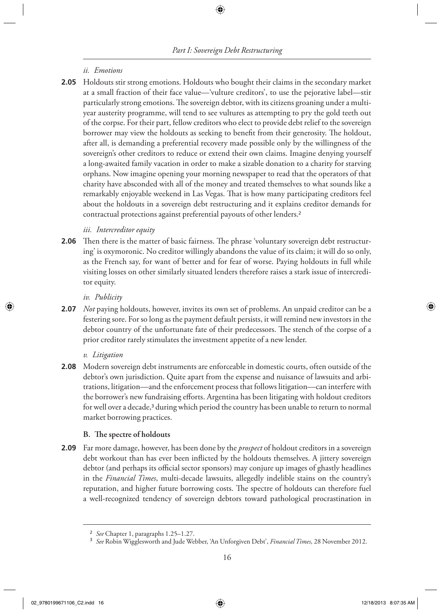## *ii. Emotions*

 Holdouts stir strong emotions. Holdouts who bought their claims in the secondary market **2.05** at a small fraction of their face value—'vulture creditors', to use the pejorative label—stir particularly strong emotions. The sovereign debtor, with its citizens groaning under a multiyear austerity programme, will tend to see vultures as attempting to pry the gold teeth out of the corpse. For their part, fellow creditors who elect to provide debt relief to the sovereign borrower may view the holdouts as seeking to benefit from their generosity. The holdout, after all, is demanding a preferential recovery made possible only by the willingness of the sovereign's other creditors to reduce or extend their own claims. Imagine denying yourself a long-awaited family vacation in order to make a sizable donation to a charity for starving orphans. Now imagine opening your morning newspaper to read that the operators of that charity have absconded with all of the money and treated themselves to what sounds like a remarkably enjoyable weekend in Las Vegas. That is how many participating creditors feel about the holdouts in a sovereign debt restructuring and it explains creditor demands for contractual protections against preferential payouts of other lenders. <sup>2</sup>

## *iii. Intercreditor equity*

**2.06** Then there is the matter of basic fairness. The phrase 'voluntary sovereign debt restructuring' is oxymoronic. No creditor willingly abandons the value of its claim; it will do so only, as the French say, for want of better and for fear of worse. Paying holdouts in full while visiting losses on other similarly situated lenders therefore raises a stark issue of intercreditor equity.

 *iv. Publicity* 

*Not* paying holdouts, however, invites its own set of problems. An unpaid creditor can be a **2.07** festering sore. For so long as the payment default persists, it will remind new investors in the debtor country of the unfortunate fate of their predecessors. The stench of the corpse of a prior creditor rarely stimulates the investment appetite of a new lender.

#### *v. Litigation*

 Modern sovereign debt instruments are enforceable in domestic courts, often outside of the **2.08** debtor's own jurisdiction. Quite apart from the expense and nuisance of lawsuits and arbitrations, litigation—and the enforcement process that follows litigation—can interfere with the borrower's new fundraising efforts. Argentina has been litigating with holdout creditors for well over a decade,<sup>3</sup> during which period the country has been unable to return to normal market borrowing practices.

### **B.** The spectre of holdouts

 Far more damage, however, has been done by the *prospect* of holdout creditors in a sovereign **2.09** debt workout than has ever been inflicted by the holdouts themselves. A jittery sovereign debtor (and perhaps its official sector sponsors) may conjure up images of ghastly headlines in the *Financial Times* , multi-decade lawsuits, allegedly indelible stains on the country's reputation, and higher future borrowing costs. The spectre of holdouts can therefore fuel a well-recognized tendency of sovereign debtors toward pathological procrastination in

<sup>2</sup> *See* Chapter 1, paragraphs 1.25–1.27.

<sup>3</sup> *See* Robin Wigglesworth and Jude Webber, 'An Unforgiven Debt', *Financial Times* , 28 November 2012.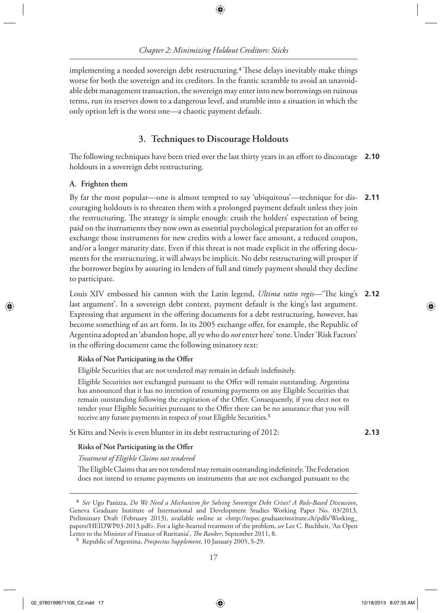implementing a needed sovereign debt restructuring.<sup>4</sup> These delays inevitably make things worse for both the sovereign and its creditors. In the frantic scramble to avoid an unavoidable debt management transaction, the sovereign may enter into new borrowings on ruinous terms, run its reserves down to a dangerous level, and stumble into a situation in which the only option left is the worst one—a chaotic payment default.

# **3. Techniques to Discourage Holdouts**

The following techniques have been tried over the last thirty years in an effort to discourage **2.10** holdouts in a sovereign debt restructuring.

## **A. Frighten them**

◈

 By far the most popular—one is almost tempted to say 'ubiquitous'—technique for discouraging holdouts is to threaten them with a prolonged payment default unless they join the restructuring. The strategy is simple enough: crush the holders' expectation of being paid on the instruments they now own as essential psychological preparation for an offer to exchange those instruments for new credits with a lower face amount, a reduced coupon, and/or a longer maturity date. Even if this threat is not made explicit in the offering documents for the restructuring, it will always be implicit. No debt restructuring will prosper if the borrower begins by assuring its lenders of full and timely payment should they decline to participate. **2.11**

Louis XIV embossed his cannon with the Latin legend, *Ultima ratio regis*—"The king's 2.12 last argument'. In a sovereign debt context, payment default is the king's last argument. Expressing that argument in the offering documents for a debt restructuring, however, has become something of an art form. In its 2005 exchange offer, for example, the Republic of Argentina adopted an 'abandon hope, all ye who do *not* enter here' tone. Under 'Risk Factors' in the offering document came the following minatory text:

## **Risks of Not Participating in the Offer**

Eligible Securities that are not tendered may remain in default indefinitely.

Eligible Securities not exchanged pursuant to the Offer will remain outstanding. Argentina has announced that it has no intention of resuming payments on any Eligible Securities that remain outstanding following the expiration of the Offer. Consequently, if you elect not to tender your Eligible Securities pursuant to the Offer there can be no assurance that you will receive any future payments in respect of your Eligible Securities. <sup>5</sup>

St Kitts and Nevis is even blunter in its debt restructuring of 2012:

**2.13**

◈

## **Risks of Not Participating in the Offer**

*Treatment of Eligible Claims not tendered*

The Eligible Claims that are not tendered may remain outstanding indefinitely. The Federation does not intend to resume payments on instruments that are not exchanged pursuant to the

<sup>4</sup> *See* Ugo Panizza, *Do We Need a Mechanism for Solving Sovereign Debt Crises? A Rule-Based Discussion* , Geneva Graduate Institute of International and Development Studies Working Paper No. 03/2013, Preliminary Draft (February 2013), available online at < http://repec.graduateinstitute.ch/pdfs/Working\_ papers/HEIDWP03-2013.pdf>. For a light-hearted treatment of the problem, see Lee C. Buchheit, 'An Open Letter to the Minister of Finance of Ruritania', *The Banker*, September 2011, 8.

<sup>5</sup> Republic of Argentina, *Prospectus Supplement* , 10 January 2005, S-29.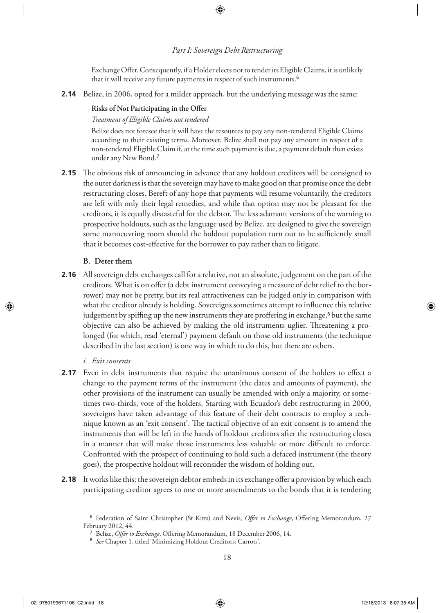⊕

Exchange Offer. Consequently, if a Holder elects not to tender its Eligible Claims, it is unlikely that it will receive any future payments in respect of such instruments. <sup>6</sup>

Belize, in 2006, opted for a milder approach, but the underlying message was the same: **2.14**

#### **Risks of Not Participating in the Offer**

#### *Treatment of Eligible Claims not tendered*

 Belize does not foresee that it will have the resources to pay any non-tendered Eligible Claims according to their existing terms. Moreover, Belize shall not pay any amount in respect of a non-tendered Eligible Claim if, at the time such payment is due, a payment default then exists under any New Bond.<sup>7</sup>

**2.15** The obvious risk of announcing in advance that any holdout creditors will be consigned to the outer darkness is that the sovereign may have to make good on that promise once the debt restructuring closes. Bereft of any hope that payments will resume voluntarily, the creditors are left with only their legal remedies, and while that option may not be pleasant for the creditors, it is equally distasteful for the debtor. The less adamant versions of the warning to prospective holdouts, such as the language used by Belize, are designed to give the sovereign some manoeuvring room should the holdout population turn out to be sufficiently small that it becomes cost-effective for the borrower to pay rather than to litigate.

#### **B. Deter them**

 All sovereign debt exchanges call for a relative, not an absolute, judgement on the part of the **2.16** creditors. What is on offer (a debt instrument conveying a measure of debt relief to the borrower) may not be pretty, but its real attractiveness can be judged only in comparison with what the creditor already is holding. Sovereigns sometimes attempt to influence this relative judgement by spiffing up the new instruments they are proffering in exchange,<sup>8</sup> but the same objective can also be achieved by making the old instruments uglier. Threatening a prolonged (for which, read 'eternal') payment default on those old instruments (the technique described in the last section) is one way in which to do this, but there are others.

#### *i. Exit consents*

- **2.17** Even in debt instruments that require the unanimous consent of the holders to effect a change to the payment terms of the instrument (the dates and amounts of payment), the other provisions of the instrument can usually be amended with only a majority, or sometimes two-thirds, vote of the holders. Starting with Ecuador's debt restructuring in 2000, sovereigns have taken advantage of this feature of their debt contracts to employ a technique known as an 'exit consent'. The tactical objective of an exit consent is to amend the instruments that will be left in the hands of holdout creditors after the restructuring closes in a manner that will make those instruments less valuable or more difficult to enforce. Confronted with the prospect of continuing to hold such a defaced instrument (the theory goes), the prospective holdout will reconsider the wisdom of holding out.
- **2.18** It works like this: the sovereign debtor embeds in its exchange offer a provision by which each participating creditor agrees to one or more amendments to the bonds that it is tendering

<sup>&</sup>lt;sup>6</sup> Federation of Saint Christopher (St Kitts) and Nevis, Offer to Exchange, Offering Memorandum, 27 February 2012, 44.

<sup>&</sup>lt;sup>7</sup> Belize, *Offer to Exchange*, Offering Memorandum, 18 December 2006, 14.

<sup>8</sup> *See* Chapter 1, titled 'Minimizing Holdout Creditors: Carrots'.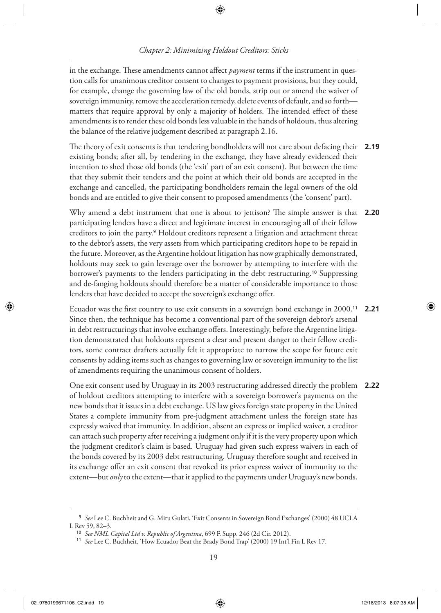# *Chapter 2: Minimizing Holdout Creditors: Sticks*

⊕

in the exchange. These amendments cannot affect *payment* terms if the instrument in question calls for unanimous creditor consent to changes to payment provisions, but they could, for example, change the governing law of the old bonds, strip out or amend the waiver of sovereign immunity, remove the acceleration remedy, delete events of default, and so forth matters that require approval by only a majority of holders. The intended effect of these amendments is to render these old bonds less valuable in the hands of holdouts, thus altering the balance of the relative judgement described at paragraph 2.16.

The theory of exit consents is that tendering bondholders will not care about defacing their **2.19** existing bonds; after all, by tendering in the exchange, they have already evidenced their intention to shed those old bonds (the 'exit' part of an exit consent). But between the time that they submit their tenders and the point at which their old bonds are accepted in the exchange and cancelled, the participating bondholders remain the legal owners of the old bonds and are entitled to give their consent to proposed amendments (the 'consent' part).

Why amend a debt instrument that one is about to jettison? The simple answer is that **2.20** participating lenders have a direct and legitimate interest in encouraging all of their fellow creditors to join the party. 9 Holdout creditors represent a litigation and attachment threat to the debtor's assets, the very assets from which participating creditors hope to be repaid in the future. Moreover, as the Argentine holdout litigation has now graphically demonstrated, holdouts may seek to gain leverage over the borrower by attempting to interfere with the borrower's payments to the lenders participating in the debt restructuring. 10 Suppressing and de-fanging holdouts should therefore be a matter of considerable importance to those lenders that have decided to accept the sovereign's exchange offer.

Ecuador was the first country to use exit consents in a sovereign bond exchange in 2000.<sup>11</sup> Since then, the technique has become a conventional part of the sovereign debtor's arsenal in debt restructurings that involve exchange offers. Interestingly, before the Argentine litigation demonstrated that holdouts represent a clear and present danger to their fellow creditors, some contract drafters actually felt it appropriate to narrow the scope for future exit consents by adding items such as changes to governing law or sovereign immunity to the list of amendments requiring the unanimous consent of holders. **2.21**

 One exit consent used by Uruguay in its 2003 restructuring addressed directly the problem **2.22** of holdout creditors attempting to interfere with a sovereign borrower's payments on the new bonds that it issues in a debt exchange. US law gives foreign state property in the United States a complete immunity from pre-judgment attachment unless the foreign state has expressly waived that immunity. In addition, absent an express or implied waiver, a creditor can attach such property after receiving a judgment only if it is the very property upon which the judgment creditor's claim is based. Uruguay had given such express waivers in each of the bonds covered by its 2003 debt restructuring. Uruguay therefore sought and received in its exchange offer an exit consent that revoked its prior express waiver of immunity to the extent—but *only* to the extent—that it applied to the payments under Uruguay's new bonds.

<sup>9</sup> *See* Lee C. Buchheit and G. Mitu Gulati, 'Exit Consents in Sovereign Bond Exchanges' (2000) 48 UCLA L Rev 59, 82–3.

<sup>10</sup> *See NML Capital Ltd v. Republic of Argentina* , 699 F. Supp. 246 (2d Cir. 2012).

<sup>11</sup> *See* Lee C. Buchheit, 'How Ecuador Beat the Brady Bond Trap' (2000) 19 Int'l Fin L Rev 17.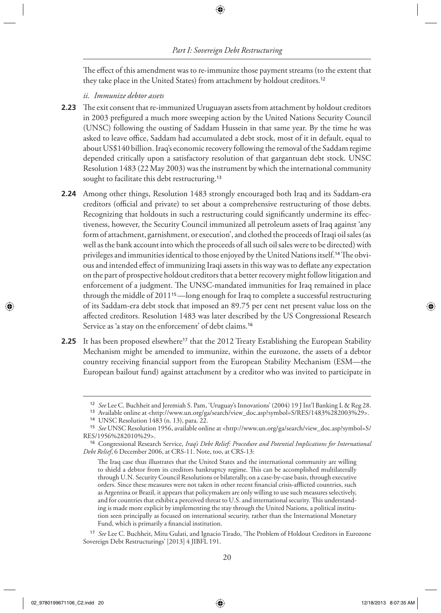The effect of this amendment was to re-immunize those payment streams (to the extent that they take place in the United States) from attachment by holdout creditors. <sup>12</sup>

### *ii. Immunize debtor assets*

- **2.23** The exit consent that re-immunized Uruguayan assets from attachment by holdout creditors in 2003 prefigured a much more sweeping action by the United Nations Security Council (UNSC) following the ousting of Saddam Hussein in that same year. By the time he was asked to leave office, Saddam had accumulated a debt stock, most of it in default, equal to about US\$140 billion. Iraq's economic recovery following the removal of the Saddam regime depended critically upon a satisfactory resolution of that gargantuan debt stock. UNSC Resolution 1483 (22 May 2003) was the instrument by which the international community sought to facilitate this debt restructuring.<sup>13</sup>
- Among other things, Resolution 1483 strongly encouraged both Iraq and its Saddam-era **2.24** creditors (official and private) to set about a comprehensive restructuring of those debts. Recognizing that holdouts in such a restructuring could significantly undermine its effectiveness, however, the Security Council immunized all petroleum assets of Iraq against 'any form of attachment, garnishment, or execution', and clothed the proceeds of Iraqi oil sales (as well as the bank account into which the proceeds of all such oil sales were to be directed) with privileges and immunities identical to those enjoyed by the United Nations itself.<sup>14</sup> The obvious and intended effect of immunizing Iraqi assets in this way was to deflate any expectation on the part of prospective holdout creditors that a better recovery might follow litigation and enforcement of a judgment. The UNSC-mandated immunities for Iraq remained in place through the middle of 2011 15 —long enough for Iraq to complete a successful restructuring of its Saddam-era debt stock that imposed an 89.75 per cent net present value loss on the affected creditors. Resolution 1483 was later described by the US Congressional Research Service as 'a stay on the enforcement' of debt claims. <sup>16</sup>
- **2.25** It has been proposed elsewhere<sup>17</sup> that the 2012 Treaty Establishing the European Stability Mechanism might be amended to immunize, within the eurozone, the assets of a debtor country receiving financial support from the European Stability Mechanism (ESM—the European bailout fund) against attachment by a creditor who was invited to participate in

<sup>12</sup> *See* Lee C. Buchheit and Jeremiah S. Pam, 'Uruguay's Innovations' (2004) 19 J Int'l Banking L & Reg 28.

<sup>13</sup> Available online at < http://www.un.org/ga/search/view\_doc.asp?symbol=S/RES/1483%282003%29 >. <sup>14</sup> UNSC Resolution 1483 (n. 13), para. 22.

<sup>15</sup> *See* UNSC Resolution 1956, available online at < http://www.un.org/ga/search/view\_doc.asp?symbol=S/ RES/1956%282010%29>.

<sup>16</sup> Congressional Research Service, *Iraq's Debt Relief: Procedure and Potential Implications for International Debt Relief* , 6 December 2006, at CRS-11. Note, too, at CRS-13:

The Iraq case thus illustrates that the United States and the international community are willing to shield a debtor from its creditors bankruptcy regime. This can be accomplished multilaterally through U.N. Security Council Resolutions or bilaterally, on a case-by-case basis, through executive orders. Since these measures were not taken in other recent financial crisis-afflicted countries, such as Argentina or Brazil, it appears that policymakers are only willing to use such measures selectively, and for countries that exhibit a perceived threat to U.S. and international security. This understanding is made more explicit by implementing the stay through the United Nations, a political institution seen principally as focused on international security, rather than the International Monetary Fund, which is primarily a financial institution.

<sup>&</sup>lt;sup>17</sup> See Lee C. Buchheit, Mitu Gulati, and Ignacio Tirado, 'The Problem of Holdout Creditors in Eurozone Sovereign Debt Restructurings' [2013] 4 JIBFL 191.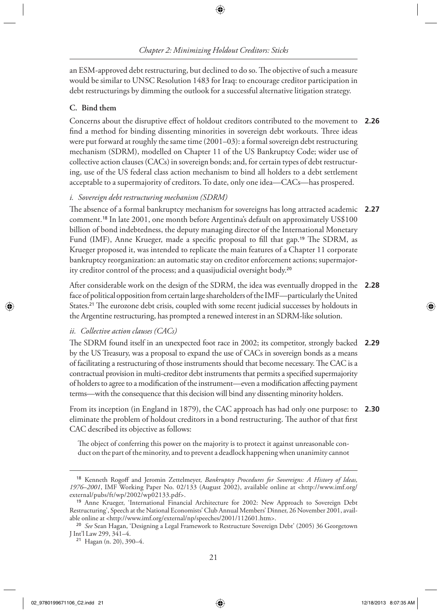an ESM-approved debt restructuring, but declined to do so. The objective of such a measure would be similar to UNSC Resolution 1483 for Iraq: to encourage creditor participation in debt restructurings by dimming the outlook for a successful alternative litigation strategy.

## **C. Bind them**

Concerns about the disruptive effect of holdout creditors contributed to the movement to **2.26** find a method for binding dissenting minorities in sovereign debt workouts. Three ideas were put forward at roughly the same time (2001–03): a formal sovereign debt restructuring mechanism (SDRM), modelled on Chapter 11 of the US Bankruptcy Code; wider use of collective action clauses (CACs) in sovereign bonds; and, for certain types of debt restructuring, use of the US federal class action mechanism to bind all holders to a debt settlement acceptable to a supermajority of creditors. To date, only one idea—CACs—has prospered.

## *i. Sovereign debt restructuring mechanism (SDRM)*

The absence of a formal bankruptcy mechanism for sovereigns has long attracted academic  $\,$  **2.27** comment. 18 In late 2001, one month before Argentina's default on approximately US\$100 billion of bond indebtedness, the deputy managing director of the International Monetary Fund (IMF), Anne Krueger, made a specific proposal to fill that gap.<sup>19</sup> The SDRM, as Krueger proposed it, was intended to replicate the main features of a Chapter 11 corporate bankruptcy reorganization: an automatic stay on creditor enforcement actions; supermajority creditor control of the process; and a quasijudicial oversight body.<sup>20</sup>

 After considerable work on the design of the SDRM, the idea was eventually dropped in the **2.28** face of political opposition from certain large shareholders of the IMF—particularly the United States.<sup>21</sup> The eurozone debt crisis, coupled with some recent judicial successes by holdouts in the Argentine restructuring, has prompted a renewed interest in an SDRM-like solution.

## *ii. Collective action clauses (CACs)*

The SDRM found itself in an unexpected foot race in 2002; its competitor, strongly backed **2.29** by the US Treasury, was a proposal to expand the use of CACs in sovereign bonds as a means of facilitating a restructuring of those instruments should that become necessary. The CAC is a contractual provision in multi-creditor debt instruments that permits a specified supermajority of holders to agree to a modification of the instrument—even a modification affecting payment terms—with the consequence that this decision will bind any dissenting minority holders.

 From its inception (in England in 1879), the CAC approach has had only one purpose: to eliminate the problem of holdout creditors in a bond restructuring. The author of that first CAC described its objective as follows: **2.30**

The object of conferring this power on the majority is to protect it against unreasonable conduct on the part of the minority, and to prevent a deadlock happening when unanimity cannot

◈

<sup>18</sup> Kenneth Rogoff and Jeromin Zettelmeyer, *Bankruptcy Procedures for Sovereigns: A History of Ideas, 1976–2001* , IMF Working Paper No. 02/133 (August 2002), available online at < http://www.imf.org/ external/pubs/ft/wp/2002/wp02133.pdf>.

<sup>19</sup> Anne Krueger, 'International Financial Architecture for 2002: New Approach to Sovereign Debt Restructuring', Speech at the National Economists' Club Annual Members' Dinner, 26 November 2001, available online at <http://www.imf.org/external/np/speeches/2001/112601.htm>.

<sup>20</sup> *See* Sean Hagan, 'Designing a Legal Framework to Restructure Sovereign Debt' (2005) 36 Georgetown J Int'l Law 299, 341–4.

<sup>21</sup> Hagan (n. 20), 390–4.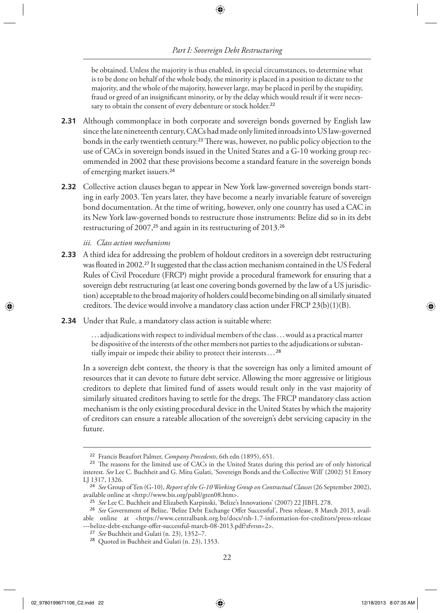be obtained. Unless the majority is thus enabled, in special circumstances, to determine what is to be done on behalf of the whole body, the minority is placed in a position to dictate to the majority, and the whole of the majority, however large, may be placed in peril by the stupidity, fraud or greed of an insignificant minority, or by the delay which would result if it were necessary to obtain the consent of every debenture or stock holder.<sup>22</sup>

- Although commonplace in both corporate and sovereign bonds governed by English law **2.31** since the late nineteenth century, CACs had made only limited inroads into US law-governed bonds in the early twentieth century.<sup>23</sup> There was, however, no public policy objection to the use of CACs in sovereign bonds issued in the United States and a G-10 working group recommended in 2002 that these provisions become a standard feature in the sovereign bonds of emerging market issuers. <sup>24</sup>
- Collective action clauses began to appear in New York law-governed sovereign bonds start-**2.32** ing in early 2003. Ten years later, they have become a nearly invariable feature of sovereign bond documentation. At the time of writing, however, only one country has used a CAC in its New York law-governed bonds to restructure those instruments: Belize did so in its debt restructuring of 2007,<sup>25</sup> and again in its restructuring of 2013.<sup>26</sup>

### *iii. Class action mechanisms*

- A third idea for addressing the problem of holdout creditors in a sovereign debt restructuring **2.33** was floated in 2002.<sup>27</sup> It suggested that the class action mechanism contained in the US Federal Rules of Civil Procedure (FRCP) might provide a procedural framework for ensuring that a sovereign debt restructuring (at least one covering bonds governed by the law of a US jurisdiction) acceptable to the broad majority of holders could become binding on all similarly situated creditors. The device would involve a mandatory class action under FRCP  $23(b)(1)(B)$ .
- Under that Rule, a mandatory class action is suitable where: **2.34**

 . . . adjudications with respect to individual members of the class . . . would as a practical matter be dispositive of the interests of the other members not parties to the adjudications or substantially impair or impede their ability to protect their interests . . . <sup>28</sup>

 In a sovereign debt context, the theory is that the sovereign has only a limited amount of resources that it can devote to future debt service. Allowing the more aggressive or litigious creditors to deplete that limited fund of assets would result only in the vast majority of similarly situated creditors having to settle for the dregs. The FRCP mandatory class action mechanism is the only existing procedural device in the United States by which the majority of creditors can ensure a rateable allocation of the sovereign's debt servicing capacity in the future.

<sup>26</sup> See Government of Belize, 'Belize Debt Exchange Offer Successful', Press release, 8 March 2013, avail-

<sup>22</sup> Francis Beaufort Palmer, *Company Precedents* , 6th edn (1895), 651.

<sup>&</sup>lt;sup>23</sup> The reasons for the limited use of CACs in the United States during this period are of only historical interest. *See* Lee C. Buchheit and G. Mitu Gulati, 'Sovereign Bonds and the Collective Will' (2002) 51 Emory LJ 1317, 1326.

<sup>24</sup> *See* Group of Ten (G-10), *Report of the G-10 Working Group on Contractual Clauses* (26 September 2002), available online at < http://www.bis.org/publ/gten08.htm >.

<sup>25</sup> *See* Lee C. Buchheit and Elizabeth Karpinski, 'Belize's Innovations' (2007) 22 JIBFL 278.

able online at < https://www.centralbank.org.bz/docs/rsh-1.7-information-for-creditors/press-release ---belize-debt-exchange-offer-successful-march-08-2013.pdf?sfvrsn=2>.

<sup>27</sup> *See* Buchheit and Gulati (n. 23), 1352–7.

<sup>28</sup> Quoted in Buchheit and Gulati (n. 23), 1353.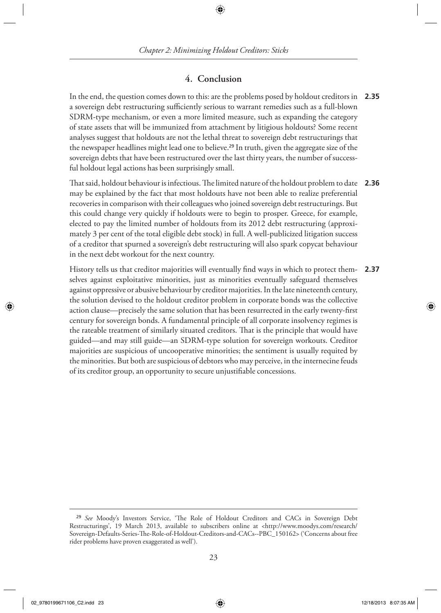## **4. Conclusion**

 In the end, the question comes down to this: are the problems posed by holdout creditors in **2.35** a sovereign debt restructuring sufficiently serious to warrant remedies such as a full-blown SDRM-type mechanism, or even a more limited measure, such as expanding the category of state assets that will be immunized from attachment by litigious holdouts? Some recent analyses suggest that holdouts are not the lethal threat to sovereign debt restructurings that the newspaper headlines might lead one to believe. 29 In truth, given the aggregate size of the sovereign debts that have been restructured over the last thirty years, the number of successful holdout legal actions has been surprisingly small.

 Th at said, holdout behaviour is infectious. Th e limited nature of the holdout problem to date **2.36** may be explained by the fact that most holdouts have not been able to realize preferential recoveries in comparison with their colleagues who joined sovereign debt restructurings. But this could change very quickly if holdouts were to begin to prosper. Greece, for example, elected to pay the limited number of holdouts from its 2012 debt restructuring (approximately 3 per cent of the total eligible debt stock) in full. A well-publicized litigation success of a creditor that spurned a sovereign's debt restructuring will also spark copycat behaviour in the next debt workout for the next country.

History tells us that creditor majorities will eventually find ways in which to protect themselves against exploitative minorities, just as minorities eventually safeguard themselves against oppressive or abusive behaviour by creditor majorities. In the late nineteenth century, the solution devised to the holdout creditor problem in corporate bonds was the collective action clause—precisely the same solution that has been resurrected in the early twenty-first century for sovereign bonds. A fundamental principle of all corporate insolvency regimes is the rateable treatment of similarly situated creditors. That is the principle that would have guided—and may still guide—an SDRM-type solution for sovereign workouts. Creditor majorities are suspicious of uncooperative minorities; the sentiment is usually requited by the minorities. But both are suspicious of debtors who may perceive, in the internecine feuds of its creditor group, an opportunity to secure unjustifiable concessions. **2.37**

◈

<sup>&</sup>lt;sup>29</sup> See Moody's Investors Service, 'The Role of Holdout Creditors and CACs in Sovereign Debt Restructurings', 19 March 2013, available to subscribers online at < http://www.moodys.com/research/ Sovereign-Defaults-Series-The-Role-of-Holdout-Creditors-and-CACs--PBC\_150162> ('Concerns about free rider problems have proven exaggerated as well').